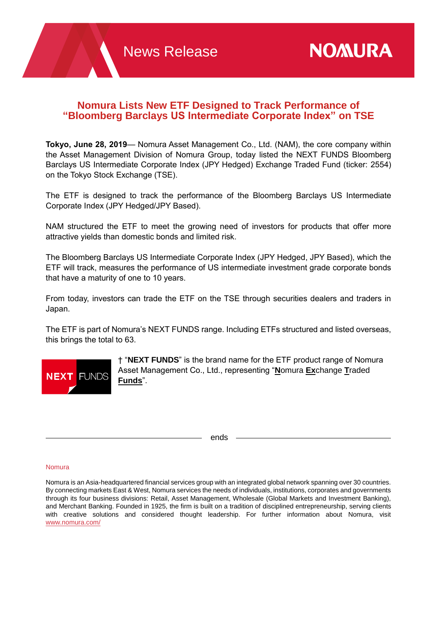# **Nomura Lists New ETF Designed to Track Performance of "Bloomberg Barclays US Intermediate Corporate Index" on TSE**

**Tokyo, June 28, 2019**— Nomura Asset Management Co., Ltd. (NAM), the core company within the Asset Management Division of Nomura Group, today listed the NEXT FUNDS Bloomberg Barclays US Intermediate Corporate Index (JPY Hedged) Exchange Traded Fund (ticker: 2554) on the Tokyo Stock Exchange (TSE).

The ETF is designed to track the performance of the Bloomberg Barclays US Intermediate Corporate Index (JPY Hedged/JPY Based).

NAM structured the ETF to meet the growing need of investors for products that offer more attractive yields than domestic bonds and limited risk.

The Bloomberg Barclays US Intermediate Corporate Index (JPY Hedged, JPY Based), which the ETF will track, measures the performance of US intermediate investment grade corporate bonds that have a maturity of one to 10 years.

From today, investors can trade the ETF on the TSE through securities dealers and traders in Japan.

The ETF is part of Nomura's NEXT FUNDS range. Including ETFs structured and listed overseas, this brings the total to 63.



† "**NEXT FUNDS**" is the brand name for the ETF product range of Nomura Asset Management Co., Ltd., representing "**N**omura **Ex**change **T**raded **Funds**".

ends

## Nomura

Nomura is an Asia-headquartered financial services group with an integrated global network spanning over 30 countries. By connecting markets East & West, Nomura services the needs of individuals, institutions, corporates and governments through its four business divisions: Retail, Asset Management, Wholesale (Global Markets and Investment Banking), and Merchant Banking. Founded in 1925, the firm is built on a tradition of disciplined entrepreneurship, serving clients with creative solutions and considered thought leadership. For further information about Nomura, visit [www.nomura.com/](https://www.nomura.com/)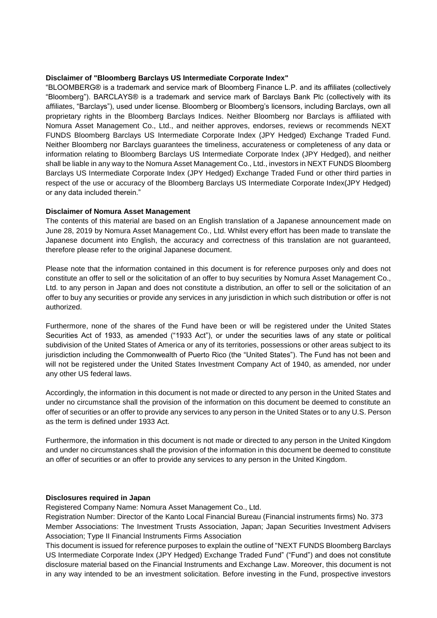## **Disclaimer of "Bloomberg Barclays US Intermediate Corporate Index"**

"BLOOMBERG® is a trademark and service mark of Bloomberg Finance L.P. and its affiliates (collectively "Bloomberg"). BARCLAYS® is a trademark and service mark of Barclays Bank Plc (collectively with its affiliates, "Barclays"), used under license. Bloomberg or Bloomberg's licensors, including Barclays, own all proprietary rights in the Bloomberg Barclays Indices. Neither Bloomberg nor Barclays is affiliated with Nomura Asset Management Co., Ltd., and neither approves, endorses, reviews or recommends NEXT FUNDS Bloomberg Barclays US Intermediate Corporate Index (JPY Hedged) Exchange Traded Fund. Neither Bloomberg nor Barclays guarantees the timeliness, accurateness or completeness of any data or information relating to Bloomberg Barclays US Intermediate Corporate Index (JPY Hedged), and neither shall be liable in any way to the Nomura Asset Management Co., Ltd., investors in NEXT FUNDS Bloomberg Barclays US Intermediate Corporate Index (JPY Hedged) Exchange Traded Fund or other third parties in respect of the use or accuracy of the Bloomberg Barclays US Intermediate Corporate Index(JPY Hedged) or any data included therein."

## **Disclaimer of Nomura Asset Management**

The contents of this material are based on an English translation of a Japanese announcement made on June 28, 2019 by Nomura Asset Management Co., Ltd. Whilst every effort has been made to translate the Japanese document into English, the accuracy and correctness of this translation are not guaranteed, therefore please refer to the original Japanese document.

Please note that the information contained in this document is for reference purposes only and does not constitute an offer to sell or the solicitation of an offer to buy securities by Nomura Asset Management Co., Ltd. to any person in Japan and does not constitute a distribution, an offer to sell or the solicitation of an offer to buy any securities or provide any services in any jurisdiction in which such distribution or offer is not authorized.

Furthermore, none of the shares of the Fund have been or will be registered under the United States Securities Act of 1933, as amended ("1933 Act"), or under the securities laws of any state or political subdivision of the United States of America or any of its territories, possessions or other areas subject to its jurisdiction including the Commonwealth of Puerto Rico (the "United States"). The Fund has not been and will not be registered under the United States Investment Company Act of 1940, as amended, nor under any other US federal laws.

Accordingly, the information in this document is not made or directed to any person in the United States and under no circumstance shall the provision of the information on this document be deemed to constitute an offer of securities or an offer to provide any services to any person in the United States or to any U.S. Person as the term is defined under 1933 Act.

Furthermore, the information in this document is not made or directed to any person in the United Kingdom and under no circumstances shall the provision of the information in this document be deemed to constitute an offer of securities or an offer to provide any services to any person in the United Kingdom.

# **Disclosures required in Japan**

Registered Company Name: Nomura Asset Management Co., Ltd.

Registration Number: Director of the Kanto Local Financial Bureau (Financial instruments firms) No. 373 Member Associations: The Investment Trusts Association, Japan; Japan Securities Investment Advisers Association; Type II Financial Instruments Firms Association

This document is issued for reference purposes to explain the outline of "NEXT FUNDS Bloomberg Barclays US Intermediate Corporate Index (JPY Hedged) Exchange Traded Fund" ("Fund") and does not constitute disclosure material based on the Financial Instruments and Exchange Law. Moreover, this document is not in any way intended to be an investment solicitation. Before investing in the Fund, prospective investors